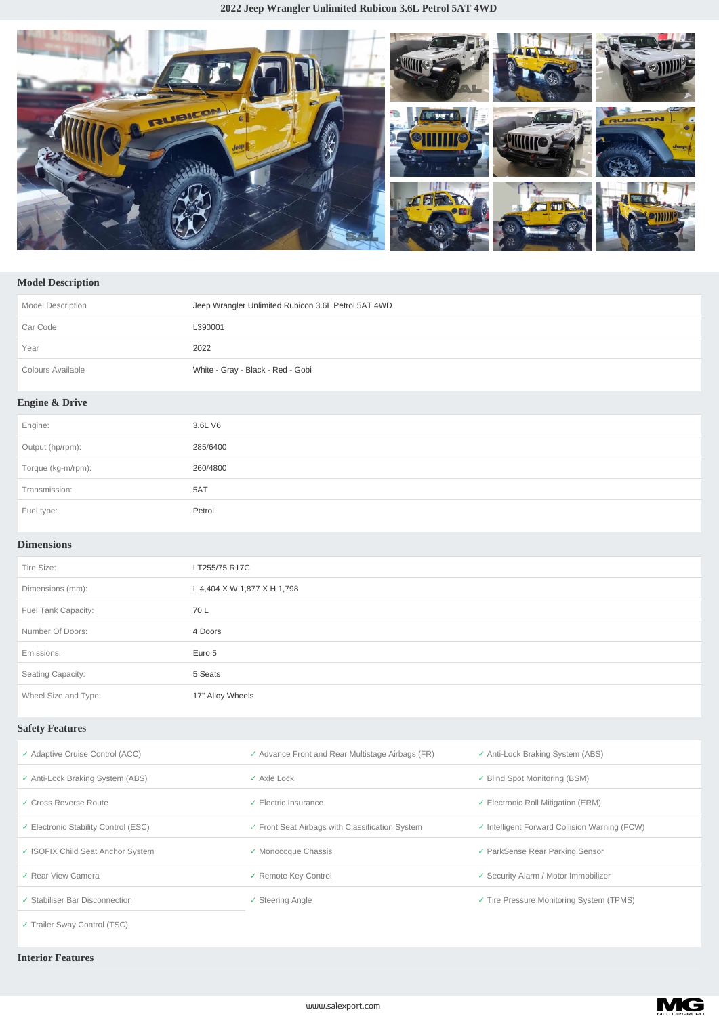

## **Model Description**

| Model Description         | Jeep Wrangler Unlimited Rubicon 3.6L Petrol 5AT 4WD |
|---------------------------|-----------------------------------------------------|
| Car Code                  | L390001                                             |
| Year                      | 2022                                                |
| Colours Available         | White - Gray - Black - Red - Gobi                   |
| <b>Engine &amp; Drive</b> |                                                     |
| Engine:                   | 3.6L V6                                             |
| Output (hp/rpm):          | 285/6400                                            |
| Torque (kg-m/rpm):        | 260/4800                                            |
| Transmission:             | 5AT                                                 |

## **Dimensions**

Fuel type: The Petrol Section of the Petrol Petrol

| Tire Size:           | LT255/75 R17C               |
|----------------------|-----------------------------|
| Dimensions (mm):     | L 4,404 X W 1,877 X H 1,798 |
| Fuel Tank Capacity:  | 70L                         |
| Number Of Doors:     | 4 Doors                     |
| Emissions:           | Euro 5                      |
| Seating Capacity:    | 5 Seats                     |
| Wheel Size and Type: | 17" Alloy Wheels            |

## **Safety Features**

| ✓ Adaptive Cruise Control (ACC)      | $\checkmark$ Advance Front and Rear Multistage Airbags (FR) | ✓ Anti-Lock Braking System (ABS)                         |
|--------------------------------------|-------------------------------------------------------------|----------------------------------------------------------|
| ✓ Anti-Lock Braking System (ABS)     | $\sqrt{}$ Axle Lock                                         | ✓ Blind Spot Monitoring (BSM)                            |
| ✓ Cross Reverse Route                | $\overline{\phantom{a}}$ Electric Insurance                 | $\checkmark$ Electronic Roll Mitigation (ERM)            |
| ✓ Electronic Stability Control (ESC) | ✓ Front Seat Airbags with Classification System             | $\checkmark$ Intelligent Forward Collision Warning (FCW) |
| ✓ ISOFIX Child Seat Anchor System    | ✓ Monocoque Chassis                                         | ✓ ParkSense Rear Parking Sensor                          |
| ✓ Rear View Camera                   | ✓ Remote Key Control                                        | ✓ Security Alarm / Motor Immobilizer                     |
| ✓ Stabiliser Bar Disconnection       | ✓ Steering Angle                                            | ✓ Tire Pressure Monitoring System (TPMS)                 |
|                                      |                                                             |                                                          |

*✓* Trailer Sway Control (TSC)

**Interior Features**